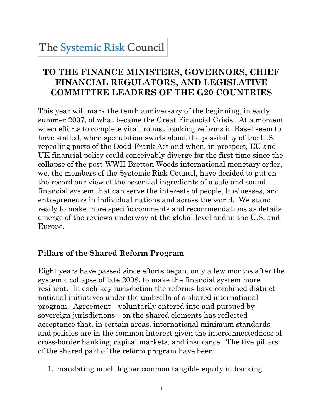# The Systemic Risk Council

# **TO THE FINANCE MINISTERS, GOVERNORS, CHIEF FINANCIAL REGULATORS, AND LEGISLATIVE COMMITTEE LEADERS OF THE G20 COUNTRIES**

This year will mark the tenth anniversary of the beginning, in early summer 2007, of what became the Great Financial Crisis. At a moment when efforts to complete vital, robust banking reforms in Basel seem to have stalled, when speculation swirls about the possibility of the U.S. repealing parts of the Dodd-Frank Act and when, in prospect, EU and UK financial policy could conceivably diverge for the first time since the collapse of the post-WWII Bretton Woods international monetary order, we, the members of the Systemic Risk Council, have decided to put on the record our view of the essential ingredients of a safe and sound financial system that can serve the interests of people, businesses, and entrepreneurs in individual nations and across the world. We stand ready to make more specific comments and recommendations as details emerge of the reviews underway at the global level and in the U.S. and Europe.

#### **Pillars of the Shared Reform Program**

Eight years have passed since efforts began, only a few months after the systemic collapse of late 2008, to make the financial system more resilient. In each key jurisdiction the reforms have combined distinct national initiatives under the umbrella of a shared international program. Agreement—voluntarily entered into and pursued by sovereign jurisdictions—on the shared elements has reflected acceptance that, in certain areas, international minimum standards and policies are in the common interest given the interconnectedness of cross-border banking, capital markets, and insurance. The five pillars of the shared part of the reform program have been:

1. mandating much higher common tangible equity in banking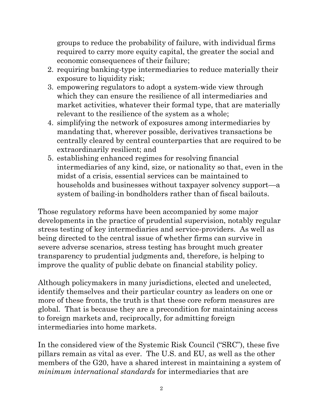groups to reduce the probability of failure, with individual firms required to carry more equity capital, the greater the social and economic consequences of their failure;

- 2. requiring banking-type intermediaries to reduce materially their exposure to liquidity risk;
- 3. empowering regulators to adopt a system-wide view through which they can ensure the resilience of all intermediaries and market activities, whatever their formal type, that are materially relevant to the resilience of the system as a whole;
- 4. simplifying the network of exposures among intermediaries by mandating that, wherever possible, derivatives transactions be centrally cleared by central counterparties that are required to be extraordinarily resilient; and
- 5. establishing enhanced regimes for resolving financial intermediaries of any kind, size, or nationality so that, even in the midst of a crisis, essential services can be maintained to households and businesses without taxpayer solvency support—a system of bailing-in bondholders rather than of fiscal bailouts.

Those regulatory reforms have been accompanied by some major developments in the practice of prudential supervision, notably regular stress testing of key intermediaries and service-providers. As well as being directed to the central issue of whether firms can survive in severe adverse scenarios, stress testing has brought much greater transparency to prudential judgments and, therefore, is helping to improve the quality of public debate on financial stability policy.

Although policymakers in many jurisdictions, elected and unelected, identify themselves and their particular country as leaders on one or more of these fronts, the truth is that these core reform measures are global. That is because they are a precondition for maintaining access to foreign markets and, reciprocally, for admitting foreign intermediaries into home markets.

In the considered view of the Systemic Risk Council ("SRC"), these five pillars remain as vital as ever. The U.S. and EU, as well as the other members of the G20, have a shared interest in maintaining a system of *minimum international standards* for intermediaries that are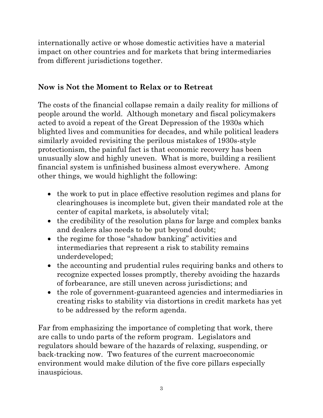internationally active or whose domestic activities have a material impact on other countries and for markets that bring intermediaries from different jurisdictions together.

### **Now is Not the Moment to Relax or to Retreat**

The costs of the financial collapse remain a daily reality for millions of people around the world. Although monetary and fiscal policymakers acted to avoid a repeat of the Great Depression of the 1930s which blighted lives and communities for decades, and while political leaders similarly avoided revisiting the perilous mistakes of 1930s-style protectionism, the painful fact is that economic recovery has been unusually slow and highly uneven. What is more, building a resilient financial system is unfinished business almost everywhere. Among other things, we would highlight the following:

- the work to put in place effective resolution regimes and plans for clearinghouses is incomplete but, given their mandated role at the center of capital markets, is absolutely vital;
- the credibility of the resolution plans for large and complex banks and dealers also needs to be put beyond doubt;
- the regime for those "shadow banking" activities and intermediaries that represent a risk to stability remains underdeveloped;
- the accounting and prudential rules requiring banks and others to recognize expected losses promptly, thereby avoiding the hazards of forbearance, are still uneven across jurisdictions; and
- the role of government-guaranteed agencies and intermediaries in creating risks to stability via distortions in credit markets has yet to be addressed by the reform agenda.

Far from emphasizing the importance of completing that work, there are calls to undo parts of the reform program. Legislators and regulators should beware of the hazards of relaxing, suspending, or back-tracking now. Two features of the current macroeconomic environment would make dilution of the five core pillars especially inauspicious.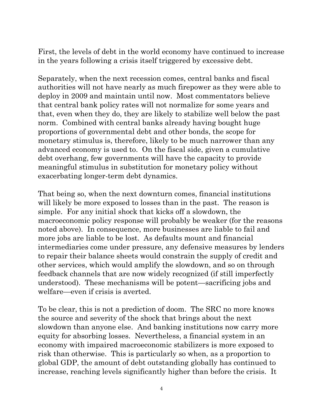First, the levels of debt in the world economy have continued to increase in the years following a crisis itself triggered by excessive debt.

Separately, when the next recession comes, central banks and fiscal authorities will not have nearly as much firepower as they were able to deploy in 2009 and maintain until now. Most commentators believe that central bank policy rates will not normalize for some years and that, even when they do, they are likely to stabilize well below the past norm. Combined with central banks already having bought huge proportions of governmental debt and other bonds, the scope for monetary stimulus is, therefore, likely to be much narrower than any advanced economy is used to. On the fiscal side, given a cumulative debt overhang, few governments will have the capacity to provide meaningful stimulus in substitution for monetary policy without exacerbating longer-term debt dynamics.

That being so, when the next downturn comes, financial institutions will likely be more exposed to losses than in the past. The reason is simple. For any initial shock that kicks off a slowdown, the macroeconomic policy response will probably be weaker (for the reasons noted above). In consequence, more businesses are liable to fail and more jobs are liable to be lost. As defaults mount and financial intermediaries come under pressure, any defensive measures by lenders to repair their balance sheets would constrain the supply of credit and other services, which would amplify the slowdown, and so on through feedback channels that are now widely recognized (if still imperfectly understood). These mechanisms will be potent—sacrificing jobs and welfare—even if crisis is averted.

To be clear, this is not a prediction of doom. The SRC no more knows the source and severity of the shock that brings about the next slowdown than anyone else. And banking institutions now carry more equity for absorbing losses. Nevertheless, a financial system in an economy with impaired macroeconomic stabilizers is more exposed to risk than otherwise. This is particularly so when, as a proportion to global GDP, the amount of debt outstanding globally has continued to increase, reaching levels significantly higher than before the crisis. It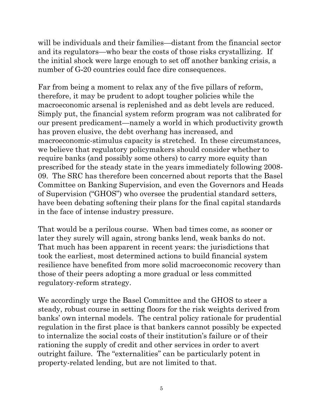will be individuals and their families—distant from the financial sector and its regulators—who bear the costs of those risks crystallizing. If the initial shock were large enough to set off another banking crisis, a number of G-20 countries could face dire consequences.

Far from being a moment to relax any of the five pillars of reform, therefore, it may be prudent to adopt tougher policies while the macroeconomic arsenal is replenished and as debt levels are reduced. Simply put, the financial system reform program was not calibrated for our present predicament—namely a world in which productivity growth has proven elusive, the debt overhang has increased, and macroeconomic-stimulus capacity is stretched. In these circumstances, we believe that regulatory policymakers should consider whether to require banks (and possibly some others) to carry more equity than prescribed for the steady state in the years immediately following 2008- 09. The SRC has therefore been concerned about reports that the Basel Committee on Banking Supervision, and even the Governors and Heads of Supervision ("GHOS") who oversee the prudential standard setters, have been debating softening their plans for the final capital standards in the face of intense industry pressure.

That would be a perilous course. When bad times come, as sooner or later they surely will again, strong banks lend, weak banks do not. That much has been apparent in recent years: the jurisdictions that took the earliest, most determined actions to build financial system resilience have benefited from more solid macroeconomic recovery than those of their peers adopting a more gradual or less committed regulatory-reform strategy.

We accordingly urge the Basel Committee and the GHOS to steer a steady, robust course in setting floors for the risk weights derived from banks' own internal models. The central policy rationale for prudential regulation in the first place is that bankers cannot possibly be expected to internalize the social costs of their institution's failure or of their rationing the supply of credit and other services in order to avert outright failure. The "externalities" can be particularly potent in property-related lending, but are not limited to that.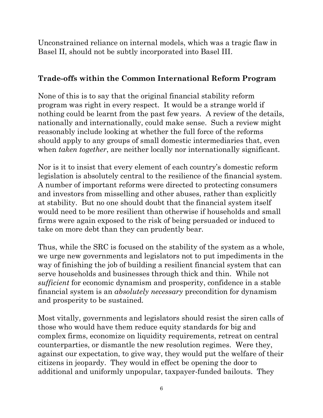Unconstrained reliance on internal models, which was a tragic flaw in Basel II, should not be subtly incorporated into Basel III.

## **Trade-offs within the Common International Reform Program**

None of this is to say that the original financial stability reform program was right in every respect. It would be a strange world if nothing could be learnt from the past few years. A review of the details, nationally and internationally, could make sense. Such a review might reasonably include looking at whether the full force of the reforms should apply to any groups of small domestic intermediaries that, even when *taken together*, are neither locally nor internationally significant.

Nor is it to insist that every element of each country's domestic reform legislation is absolutely central to the resilience of the financial system. A number of important reforms were directed to protecting consumers and investors from misselling and other abuses, rather than explicitly at stability. But no one should doubt that the financial system itself would need to be more resilient than otherwise if households and small firms were again exposed to the risk of being persuaded or induced to take on more debt than they can prudently bear.

Thus, while the SRC is focused on the stability of the system as a whole, we urge new governments and legislators not to put impediments in the way of finishing the job of building a resilient financial system that can serve households and businesses through thick and thin. While not *sufficient* for economic dynamism and prosperity, confidence in a stable financial system is an *absolutely necessary* precondition for dynamism and prosperity to be sustained.

Most vitally, governments and legislators should resist the siren calls of those who would have them reduce equity standards for big and complex firms, economize on liquidity requirements, retreat on central counterparties, or dismantle the new resolution regimes. Were they, against our expectation, to give way, they would put the welfare of their citizens in jeopardy. They would in effect be opening the door to additional and uniformly unpopular, taxpayer-funded bailouts. They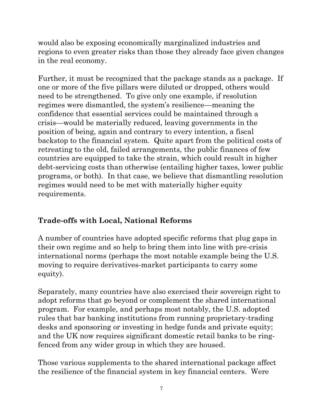would also be exposing economically marginalized industries and regions to even greater risks than those they already face given changes in the real economy.

Further, it must be recognized that the package stands as a package. If one or more of the five pillars were diluted or dropped, others would need to be strengthened. To give only one example, if resolution regimes were dismantled, the system's resilience—meaning the confidence that essential services could be maintained through a crisis—would be materially reduced, leaving governments in the position of being, again and contrary to every intention, a fiscal backstop to the financial system. Quite apart from the political costs of retreating to the old, failed arrangements, the public finances of few countries are equipped to take the strain, which could result in higher debt-servicing costs than otherwise (entailing higher taxes, lower public programs, or both). In that case, we believe that dismantling resolution regimes would need to be met with materially higher equity requirements.

### **Trade-offs with Local, National Reforms**

A number of countries have adopted specific reforms that plug gaps in their own regime and so help to bring them into line with pre-crisis international norms (perhaps the most notable example being the U.S. moving to require derivatives-market participants to carry some equity).

Separately, many countries have also exercised their sovereign right to adopt reforms that go beyond or complement the shared international program. For example, and perhaps most notably, the U.S. adopted rules that bar banking institutions from running proprietary-trading desks and sponsoring or investing in hedge funds and private equity; and the UK now requires significant domestic retail banks to be ringfenced from any wider group in which they are housed.

Those various supplements to the shared international package affect the resilience of the financial system in key financial centers. Were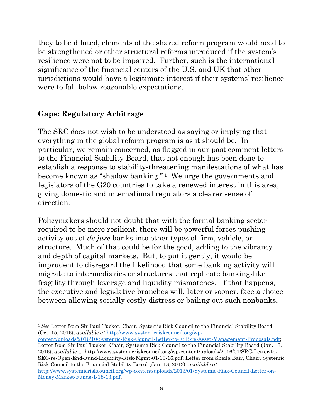they to be diluted, elements of the shared reform program would need to be strengthened or other structural reforms introduced if the system's resilience were not to be impaired. Further, such is the international significance of the financial centers of the U.S. and UK that other jurisdictions would have a legitimate interest if their systems' resilience were to fall below reasonable expectations.

### **Gaps: Regulatory Arbitrage**

The SRC does not wish to be understood as saying or implying that everything in the global reform program is as it should be. In particular, we remain concerned, as flagged in our past comment letters to the Financial Stability Board, that not enough has been done to establish a response to stability-threatening manifestations of what has become known as "shadow banking." <sup>1</sup> We urge the governments and legislators of the G20 countries to take a renewed interest in this area, giving domestic and international regulators a clearer sense of direction.

Policymakers should not doubt that with the formal banking sector required to be more resilient, there will be powerful forces pushing activity out of *de jure* banks into other types of firm, vehicle, or structure. Much of that could be for the good, adding to the vibrancy and depth of capital markets. But, to put it gently, it would be imprudent to disregard the likelihood that some banking activity will migrate to intermediaries or structures that replicate banking-like fragility through leverage and liquidity mismatches. If that happens, the executive and legislative branches will, later or sooner, face a choice between allowing socially costly distress or bailing out such nonbanks.

[content/uploads/2016/10/Systemic-Risk-Council-Letter-to-FSB-re-Asset-Management-Proposals.pdf;](http://www.systemicriskcouncil.org/wp-content/uploads/2016/10/Systemic-Risk-Council-Letter-to-FSB-re-Asset-Management-Proposals.pdf) Letter from Sir Paul Tucker, Chair, Systemic Risk Council to the Financial Stability Board (Jan. 13, 2016), *available* at [http://www.systemicriskcouncil.org/wp-content/uploads/2016/01/SRC-Letter-to-](http://www.systemicriskcouncil.org/wp-content/uploads/2016/01/SRC-Letter-to-SEC-re-Open-End-Fund-Liquidity-Risk-Mgmt-01-13-16.pdf)[SEC-re-Open-End-Fund-Liquidity-Risk-Mgmt-01-13-16.pdf;](http://www.systemicriskcouncil.org/wp-content/uploads/2016/01/SRC-Letter-to-SEC-re-Open-End-Fund-Liquidity-Risk-Mgmt-01-13-16.pdf) Letter from Sheila Bair, Chair, Systemic Risk Council to the Financial Stability Board (Jan. 18, 2013), *available at* [http://www.systemicriskcouncil.org/wp-content/uploads/2013/01/Systemic-Risk-Council-Letter-on-](http://www.systemicriskcouncil.org/wp-content/uploads/2013/01/Systemic-Risk-Council-Letter-on-Money-Market-Funds-1-18-13.pdf)[Money-Market-Funds-1-18-13.pdf.](http://www.systemicriskcouncil.org/wp-content/uploads/2013/01/Systemic-Risk-Council-Letter-on-Money-Market-Funds-1-18-13.pdf)

 $\overline{a}$ <sup>1</sup> *See* Letter from Sir Paul Tucker, Chair, Systemic Risk Council to the Financial Stability Board (Oct. 15, 2016), *available at* [http://www.systemicriskcouncil.org/wp-](http://www.systemicriskcouncil.org/wp-content/uploads/2016/10/Systemic-Risk-Council-Letter-to-FSB-re-Asset-Management-Proposals.pdf)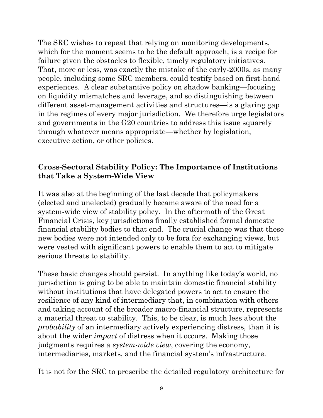The SRC wishes to repeat that relying on monitoring developments, which for the moment seems to be the default approach, is a recipe for failure given the obstacles to flexible, timely regulatory initiatives. That, more or less, was exactly the mistake of the early-2000s, as many people, including some SRC members, could testify based on first-hand experiences. A clear substantive policy on shadow banking—focusing on liquidity mismatches and leverage, and so distinguishing between different asset-management activities and structures—is a glaring gap in the regimes of every major jurisdiction. We therefore urge legislators and governments in the G20 countries to address this issue squarely through whatever means appropriate—whether by legislation, executive action, or other policies.

#### **Cross-Sectoral Stability Policy: The Importance of Institutions that Take a System-Wide View**

It was also at the beginning of the last decade that policymakers (elected and unelected) gradually became aware of the need for a system-wide view of stability policy. In the aftermath of the Great Financial Crisis, key jurisdictions finally established formal domestic financial stability bodies to that end. The crucial change was that these new bodies were not intended only to be fora for exchanging views, but were vested with significant powers to enable them to act to mitigate serious threats to stability.

These basic changes should persist. In anything like today's world, no jurisdiction is going to be able to maintain domestic financial stability without institutions that have delegated powers to act to ensure the resilience of any kind of intermediary that, in combination with others and taking account of the broader macro-financial structure, represents a material threat to stability. This, to be clear, is much less about the *probability* of an intermediary actively experiencing distress, than it is about the wider *impact* of distress when it occurs. Making those judgments requires a *system-wide view*, covering the economy, intermediaries, markets, and the financial system's infrastructure.

It is not for the SRC to prescribe the detailed regulatory architecture for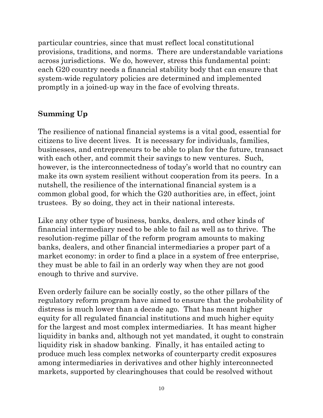particular countries, since that must reflect local constitutional provisions, traditions, and norms. There are understandable variations across jurisdictions. We do, however, stress this fundamental point: each G20 country needs a financial stability body that can ensure that system-wide regulatory policies are determined and implemented promptly in a joined-up way in the face of evolving threats.

### **Summing Up**

The resilience of national financial systems is a vital good, essential for citizens to live decent lives. It is necessary for individuals, families, businesses, and entrepreneurs to be able to plan for the future, transact with each other, and commit their savings to new ventures. Such, however, is the interconnectedness of today's world that no country can make its own system resilient without cooperation from its peers. In a nutshell, the resilience of the international financial system is a common global good, for which the G20 authorities are, in effect, joint trustees. By so doing, they act in their national interests.

Like any other type of business, banks, dealers, and other kinds of financial intermediary need to be able to fail as well as to thrive. The resolution-regime pillar of the reform program amounts to making banks, dealers, and other financial intermediaries a proper part of a market economy: in order to find a place in a system of free enterprise, they must be able to fail in an orderly way when they are not good enough to thrive and survive.

Even orderly failure can be socially costly, so the other pillars of the regulatory reform program have aimed to ensure that the probability of distress is much lower than a decade ago. That has meant higher equity for all regulated financial institutions and much higher equity for the largest and most complex intermediaries. It has meant higher liquidity in banks and, although not yet mandated, it ought to constrain liquidity risk in shadow banking. Finally, it has entailed acting to produce much less complex networks of counterparty credit exposures among intermediaries in derivatives and other highly interconnected markets, supported by clearinghouses that could be resolved without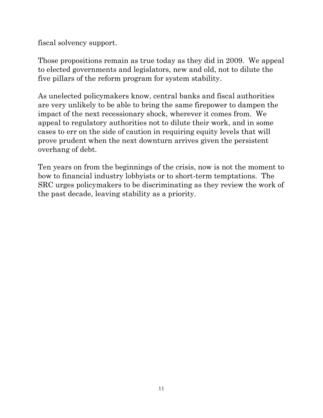fiscal solvency support.

Those propositions remain as true today as they did in 2009. We appeal to elected governments and legislators, new and old, not to dilute the five pillars of the reform program for system stability.

As unelected policymakers know, central banks and fiscal authorities are very unlikely to be able to bring the same firepower to dampen the impact of the next recessionary shock, wherever it comes from. We appeal to regulatory authorities not to dilute their work, and in some cases to err on the side of caution in requiring equity levels that will prove prudent when the next downturn arrives given the persistent overhang of debt.

Ten years on from the beginnings of the crisis, now is not the moment to bow to financial industry lobbyists or to short-term temptations. The SRC urges policymakers to be discriminating as they review the work of the past decade, leaving stability as a priority.